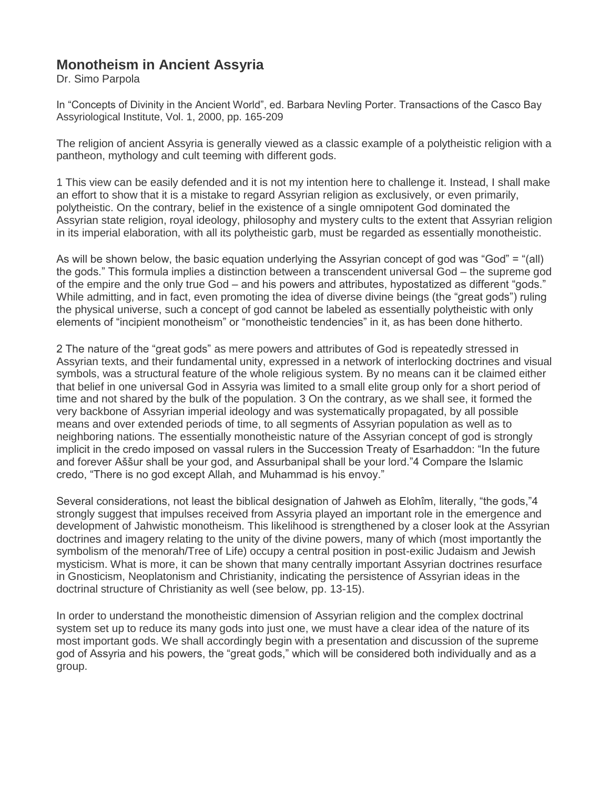# **Monotheism in Ancient Assyria**

Dr. Simo Parpola

In "Concepts of Divinity in the Ancient World", ed. Barbara Nevling Porter. Transactions of the Casco Bay Assyriological Institute, Vol. 1, 2000, pp. 165-209

The religion of ancient Assyria is generally viewed as a classic example of a polytheistic religion with a pantheon, mythology and cult teeming with different gods.

1 This view can be easily defended and it is not my intention here to challenge it. Instead, I shall make an effort to show that it is a mistake to regard Assyrian religion as exclusively, or even primarily, polytheistic. On the contrary, belief in the existence of a single omnipotent God dominated the Assyrian state religion, royal ideology, philosophy and mystery cults to the extent that Assyrian religion in its imperial elaboration, with all its polytheistic garb, must be regarded as essentially monotheistic.

As will be shown below, the basic equation underlying the Assyrian concept of god was "God" = "(all) the gods." This formula implies a distinction between a transcendent universal God – the supreme god of the empire and the only true God – and his powers and attributes, hypostatized as different "gods." While admitting, and in fact, even promoting the idea of diverse divine beings (the "great gods") ruling the physical universe, such a concept of god cannot be labeled as essentially polytheistic with only elements of "incipient monotheism" or "monotheistic tendencies" in it, as has been done hitherto.

2 The nature of the "great gods" as mere powers and attributes of God is repeatedly stressed in Assyrian texts, and their fundamental unity, expressed in a network of interlocking doctrines and visual symbols, was a structural feature of the whole religious system. By no means can it be claimed either that belief in one universal God in Assyria was limited to a small elite group only for a short period of time and not shared by the bulk of the population. 3 On the contrary, as we shall see, it formed the very backbone of Assyrian imperial ideology and was systematically propagated, by all possible means and over extended periods of time, to all segments of Assyrian population as well as to neighboring nations. The essentially monotheistic nature of the Assyrian concept of god is strongly implicit in the credo imposed on vassal rulers in the Succession Treaty of Esarhaddon: "In the future and forever Aššur shall be your god, and Assurbanipal shall be your lord."4 Compare the Islamic credo, "There is no god except Allah, and Muhammad is his envoy."

Several considerations, not least the biblical designation of Jahweh as Elohîm, literally, "the gods,"4 strongly suggest that impulses received from Assyria played an important role in the emergence and development of Jahwistic monotheism. This likelihood is strengthened by a closer look at the Assyrian doctrines and imagery relating to the unity of the divine powers, many of which (most importantly the symbolism of the menorah/Tree of Life) occupy a central position in post-exilic Judaism and Jewish mysticism. What is more, it can be shown that many centrally important Assyrian doctrines resurface in Gnosticism, Neoplatonism and Christianity, indicating the persistence of Assyrian ideas in the doctrinal structure of Christianity as well (see below, pp. 13-15).

In order to understand the monotheistic dimension of Assyrian religion and the complex doctrinal system set up to reduce its many gods into just one, we must have a clear idea of the nature of its most important gods. We shall accordingly begin with a presentation and discussion of the supreme god of Assyria and his powers, the "great gods," which will be considered both individually and as a group.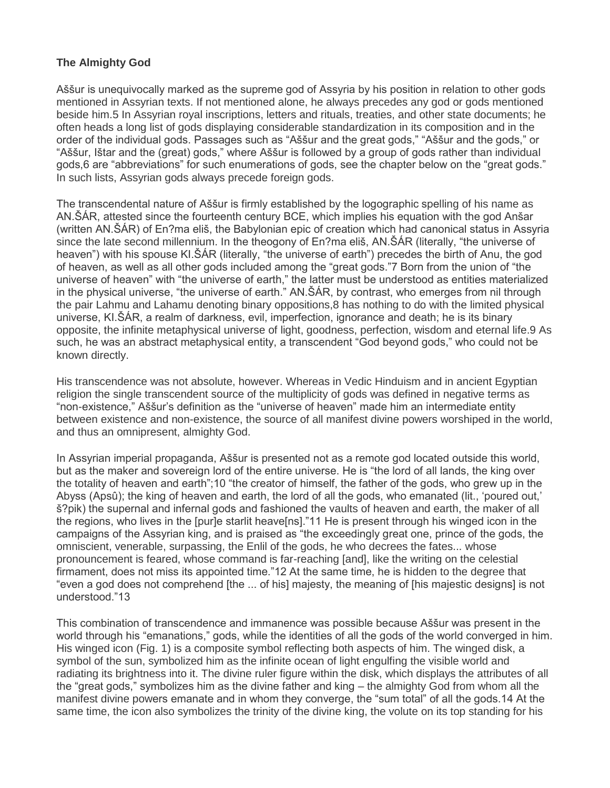#### **The Almighty God**

Aššur is unequivocally marked as the supreme god of Assyria by his position in relation to other gods mentioned in Assyrian texts. If not mentioned alone, he always precedes any god or gods mentioned beside him.5 In Assyrian royal inscriptions, letters and rituals, treaties, and other state documents; he often heads a long list of gods displaying considerable standardization in its composition and in the order of the individual gods. Passages such as "Aššur and the great gods," "Aššur and the gods," or "Aššur, Ištar and the (great) gods," where Aššur is followed by a group of gods rather than individual gods,6 are "abbreviations" for such enumerations of gods, see the chapter below on the "great gods." In such lists, Assyrian gods always precede foreign gods.

The transcendental nature of Aššur is firmly established by the logographic spelling of his name as AN.ŠÁR, attested since the fourteenth century BCE, which implies his equation with the god Anšar (written AN.ŠÁR) of En?ma eliš, the Babylonian epic of creation which had canonical status in Assyria since the late second millennium. In the theogony of En?ma eliš, AN.ŠÁR (literally, "the universe of heaven") with his spouse KI.ŠÁR (literally, "the universe of earth") precedes the birth of Anu, the god of heaven, as well as all other gods included among the "great gods."7 Born from the union of "the universe of heaven" with "the universe of earth," the latter must be understood as entities materialized in the physical universe, "the universe of earth." AN.ŠÁR, by contrast, who emerges from nil through the pair Lahmu and Lahamu denoting binary oppositions,8 has nothing to do with the limited physical universe, KI.ŠÁR, a realm of darkness, evil, imperfection, ignorance and death; he is its binary opposite, the infinite metaphysical universe of light, goodness, perfection, wisdom and eternal life.9 As such, he was an abstract metaphysical entity, a transcendent "God beyond gods," who could not be known directly.

His transcendence was not absolute, however. Whereas in Vedic Hinduism and in ancient Egyptian religion the single transcendent source of the multiplicity of gods was defined in negative terms as "non-existence," Aššur's definition as the "universe of heaven" made him an intermediate entity between existence and non-existence, the source of all manifest divine powers worshiped in the world, and thus an omnipresent, almighty God.

In Assyrian imperial propaganda, Aššur is presented not as a remote god located outside this world, but as the maker and sovereign lord of the entire universe. He is "the lord of all lands, the king over the totality of heaven and earth";10 "the creator of himself, the father of the gods, who grew up in the Abyss (Apsû); the king of heaven and earth, the lord of all the gods, who emanated (lit., 'poured out,' š?pik) the supernal and infernal gods and fashioned the vaults of heaven and earth, the maker of all the regions, who lives in the [pur]e starlit heave[ns]."11 He is present through his winged icon in the campaigns of the Assyrian king, and is praised as "the exceedingly great one, prince of the gods, the omniscient, venerable, surpassing, the Enlil of the gods, he who decrees the fates... whose pronouncement is feared, whose command is far-reaching [and], like the writing on the celestial firmament, does not miss its appointed time."12 At the same time, he is hidden to the degree that "even a god does not comprehend [the ... of his] majesty, the meaning of [his majestic designs] is not understood."13

This combination of transcendence and immanence was possible because Aššur was present in the world through his "emanations," gods, while the identities of all the gods of the world converged in him. His winged icon (Fig. 1) is a composite symbol reflecting both aspects of him. The winged disk, a symbol of the sun, symbolized him as the infinite ocean of light engulfing the visible world and radiating its brightness into it. The divine ruler figure within the disk, which displays the attributes of all the "great gods," symbolizes him as the divine father and king – the almighty God from whom all the manifest divine powers emanate and in whom they converge, the "sum total" of all the gods.14 At the same time, the icon also symbolizes the trinity of the divine king, the volute on its top standing for his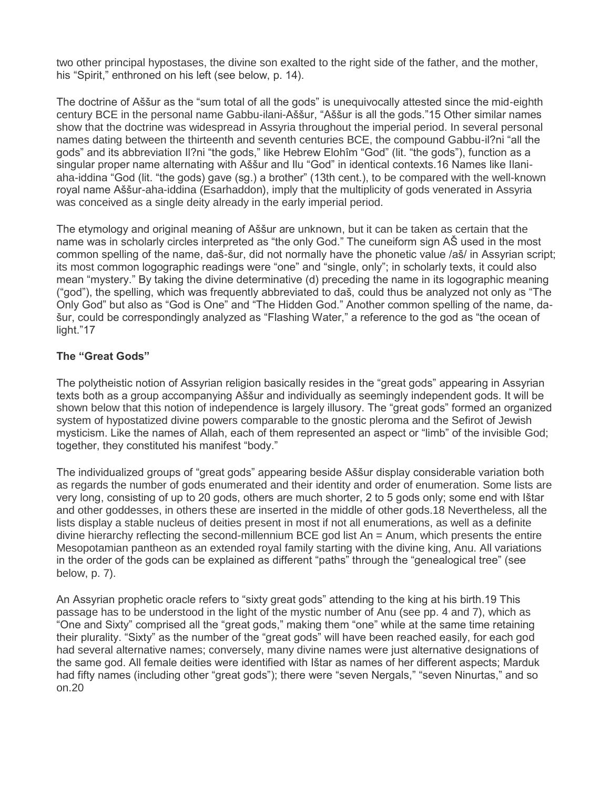two other principal hypostases, the divine son exalted to the right side of the father, and the mother, his "Spirit," enthroned on his left (see below, p. 14).

The doctrine of Aššur as the "sum total of all the gods" is unequivocally attested since the mid-eighth century BCE in the personal name Gabbu-ilani-Aššur, "Aššur is all the gods."15 Other similar names show that the doctrine was widespread in Assyria throughout the imperial period. In several personal names dating between the thirteenth and seventh centuries BCE, the compound Gabbu-il?ni "all the gods" and its abbreviation Il?ni "the gods," like Hebrew Elohîm "God" (lit. "the gods"), function as a singular proper name alternating with Aššur and Ilu "God" in identical contexts.16 Names like Ilaniaha-iddina "God (lit. "the gods) gave (sg.) a brother" (13th cent.), to be compared with the well-known royal name Aššur-aha-iddina (Esarhaddon), imply that the multiplicity of gods venerated in Assyria was conceived as a single deity already in the early imperial period.

The etymology and original meaning of Aššur are unknown, but it can be taken as certain that the name was in scholarly circles interpreted as "the only God." The cuneiform sign AŠ used in the most common spelling of the name, daš-šur, did not normally have the phonetic value /aš/ in Assyrian script; its most common logographic readings were "one" and "single, only"; in scholarly texts, it could also mean "mystery." By taking the divine determinative (d) preceding the name in its logographic meaning ("god"), the spelling, which was frequently abbreviated to daš, could thus be analyzed not only as "The Only God" but also as "God is One" and "The Hidden God." Another common spelling of the name, dašur, could be correspondingly analyzed as "Flashing Water," a reference to the god as "the ocean of light."17

# **The "Great Gods"**

The polytheistic notion of Assyrian religion basically resides in the "great gods" appearing in Assyrian texts both as a group accompanying Aššur and individually as seemingly independent gods. It will be shown below that this notion of independence is largely illusory. The "great gods" formed an organized system of hypostatized divine powers comparable to the gnostic pleroma and the Sefirot of Jewish mysticism. Like the names of Allah, each of them represented an aspect or "limb" of the invisible God; together, they constituted his manifest "body."

The individualized groups of "great gods" appearing beside Aššur display considerable variation both as regards the number of gods enumerated and their identity and order of enumeration. Some lists are very long, consisting of up to 20 gods, others are much shorter, 2 to 5 gods only; some end with Ištar and other goddesses, in others these are inserted in the middle of other gods.18 Nevertheless, all the lists display a stable nucleus of deities present in most if not all enumerations, as well as a definite divine hierarchy reflecting the second-millennium BCE god list An = Anum, which presents the entire Mesopotamian pantheon as an extended royal family starting with the divine king, Anu. All variations in the order of the gods can be explained as different "paths" through the "genealogical tree" (see below, p. 7).

An Assyrian prophetic oracle refers to "sixty great gods" attending to the king at his birth.19 This passage has to be understood in the light of the mystic number of Anu (see pp. 4 and 7), which as "One and Sixty" comprised all the "great gods," making them "one" while at the same time retaining their plurality. "Sixty" as the number of the "great gods" will have been reached easily, for each god had several alternative names; conversely, many divine names were just alternative designations of the same god. All female deities were identified with Ištar as names of her different aspects; Marduk had fifty names (including other "great gods"); there were "seven Nergals," "seven Ninurtas," and so on.20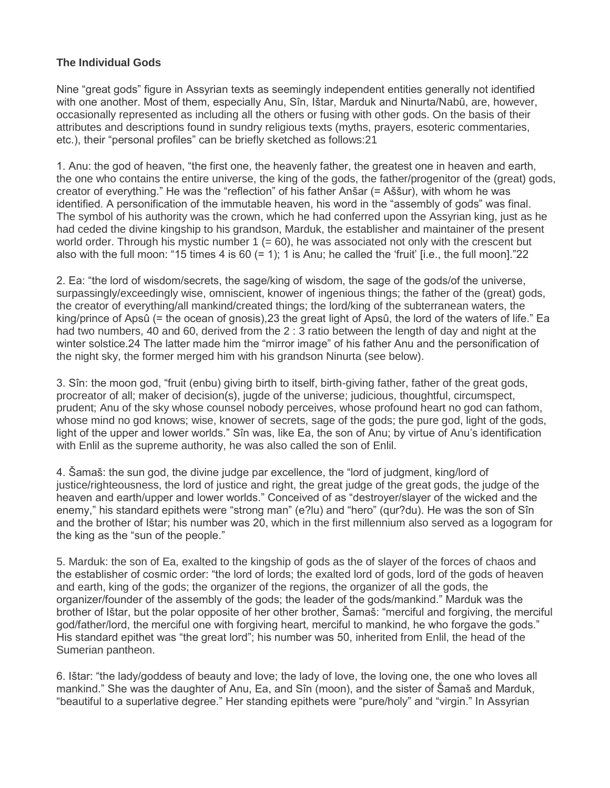# **The Individual Gods**

Nine "great gods" figure in Assyrian texts as seemingly independent entities generally not identified with one another. Most of them, especially Anu, Sîn, Ištar, Marduk and Ninurta/Nabû, are, however, occasionally represented as including all the others or fusing with other gods. On the basis of their attributes and descriptions found in sundry religious texts (myths, prayers, esoteric commentaries, etc.), their "personal profiles" can be briefly sketched as follows:21

1. Anu: the god of heaven, "the first one, the heavenly father, the greatest one in heaven and earth, the one who contains the entire universe, the king of the gods, the father/progenitor of the (great) gods, creator of everything." He was the "reflection" of his father Anšar (= Aššur), with whom he was identified. A personification of the immutable heaven, his word in the "assembly of gods" was final. The symbol of his authority was the crown, which he had conferred upon the Assyrian king, just as he had ceded the divine kingship to his grandson, Marduk, the establisher and maintainer of the present world order. Through his mystic number  $1 (= 60)$ , he was associated not only with the crescent but also with the full moon: "15 times 4 is 60  $(= 1)$ : 1 is Anu; he called the 'fruit' li.e., the full moonl."22

2. Ea: "the lord of wisdom/secrets, the sage/king of wisdom, the sage of the gods/of the universe, surpassingly/exceedingly wise, omniscient, knower of ingenious things; the father of the (great) gods, the creator of everything/all mankind/created things; the lord/king of the subterranean waters, the king/prince of Apsû (= the ocean of gnosis),23 the great light of Apsû, the lord of the waters of life." Ea had two numbers, 40 and 60, derived from the 2 : 3 ratio between the length of day and night at the winter solstice.24 The latter made him the "mirror image" of his father Anu and the personification of the night sky, the former merged him with his grandson Ninurta (see below).

3. Sîn: the moon god, "fruit (enbu) giving birth to itself, birth-giving father, father of the great gods, procreator of all; maker of decision(s), jugde of the universe; judicious, thoughtful, circumspect, prudent; Anu of the sky whose counsel nobody perceives, whose profound heart no god can fathom, whose mind no god knows; wise, knower of secrets, sage of the gods; the pure god, light of the gods, light of the upper and lower worlds." Sîn was, like Ea, the son of Anu; by virtue of Anu's identification with Enlil as the supreme authority, he was also called the son of Enlil.

4. Šamaš: the sun god, the divine judge par excellence, the "lord of judgment, king/lord of justice/righteousness, the lord of justice and right, the great judge of the great gods, the judge of the heaven and earth/upper and lower worlds." Conceived of as "destroyer/slayer of the wicked and the enemy," his standard epithets were "strong man" (e?lu) and "hero" (qur?du). He was the son of Sîn and the brother of Ištar; his number was 20, which in the first millennium also served as a logogram for the king as the "sun of the people."

5. Marduk: the son of Ea, exalted to the kingship of gods as the of slayer of the forces of chaos and the establisher of cosmic order: "the lord of lords; the exalted lord of gods, lord of the gods of heaven and earth, king of the gods; the organizer of the regions, the organizer of all the gods, the organizer/founder of the assembly of the gods; the leader of the gods/mankind." Marduk was the brother of Ištar, but the polar opposite of her other brother, Šamaš: "merciful and forgiving, the merciful god/father/lord, the merciful one with forgiving heart, merciful to mankind, he who forgave the gods." His standard epithet was "the great lord"; his number was 50, inherited from Enlil, the head of the Sumerian pantheon.

6. Ištar: "the lady/goddess of beauty and love; the lady of love, the loving one, the one who loves all mankind." She was the daughter of Anu, Ea, and Sîn (moon), and the sister of Šamaš and Marduk, "beautiful to a superlative degree." Her standing epithets were "pure/holy" and "virgin." In Assyrian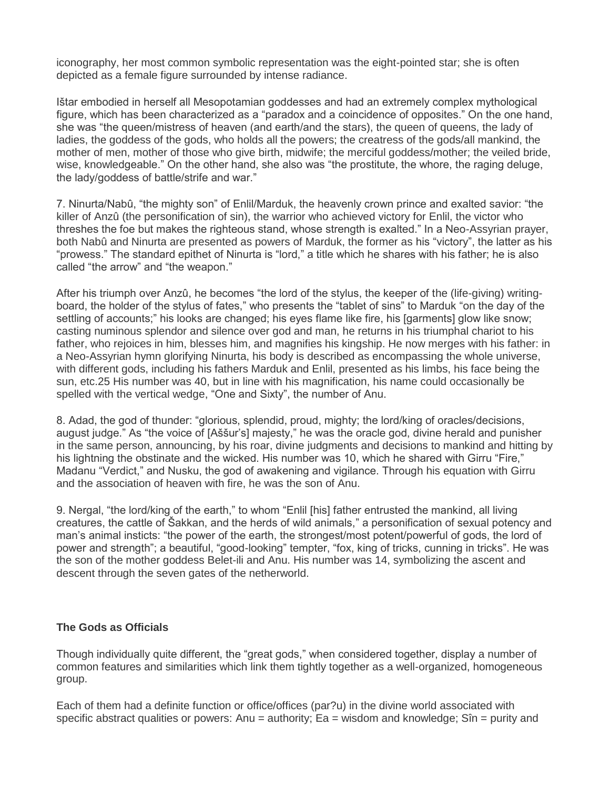iconography, her most common symbolic representation was the eight-pointed star; she is often depicted as a female figure surrounded by intense radiance.

Ištar embodied in herself all Mesopotamian goddesses and had an extremely complex mythological figure, which has been characterized as a "paradox and a coincidence of opposites." On the one hand, she was "the queen/mistress of heaven (and earth/and the stars), the queen of queens, the lady of ladies, the goddess of the gods, who holds all the powers; the creatress of the gods/all mankind, the mother of men, mother of those who give birth, midwife; the merciful goddess/mother; the veiled bride, wise, knowledgeable." On the other hand, she also was "the prostitute, the whore, the raging deluge, the lady/goddess of battle/strife and war."

7. Ninurta/Nabû, "the mighty son" of Enlil/Marduk, the heavenly crown prince and exalted savior: "the killer of Anzû (the personification of sin), the warrior who achieved victory for Enlil, the victor who threshes the foe but makes the righteous stand, whose strength is exalted." In a Neo-Assyrian prayer, both Nabû and Ninurta are presented as powers of Marduk, the former as his "victory", the latter as his "prowess." The standard epithet of Ninurta is "lord," a title which he shares with his father; he is also called "the arrow" and "the weapon."

After his triumph over Anzû, he becomes "the lord of the stylus, the keeper of the (life-giving) writingboard, the holder of the stylus of fates," who presents the "tablet of sins" to Marduk "on the day of the settling of accounts;" his looks are changed; his eyes flame like fire, his [garments] glow like snow; casting numinous splendor and silence over god and man, he returns in his triumphal chariot to his father, who rejoices in him, blesses him, and magnifies his kingship. He now merges with his father: in a Neo-Assyrian hymn glorifying Ninurta, his body is described as encompassing the whole universe, with different gods, including his fathers Marduk and Enlil, presented as his limbs, his face being the sun, etc.25 His number was 40, but in line with his magnification, his name could occasionally be spelled with the vertical wedge, "One and Sixty", the number of Anu.

8. Adad, the god of thunder: "glorious, splendid, proud, mighty; the lord/king of oracles/decisions, august judge." As "the voice of [Aššur's] majesty," he was the oracle god, divine herald and punisher in the same person, announcing, by his roar, divine judgments and decisions to mankind and hitting by his lightning the obstinate and the wicked. His number was 10, which he shared with Girru "Fire," Madanu "Verdict," and Nusku, the god of awakening and vigilance. Through his equation with Girru and the association of heaven with fire, he was the son of Anu.

9. Nergal, "the lord/king of the earth," to whom "Enlil [his] father entrusted the mankind, all living creatures, the cattle of Šakkan, and the herds of wild animals," a personification of sexual potency and man's animal insticts: "the power of the earth, the strongest/most potent/powerful of gods, the lord of power and strength"; a beautiful, "good-looking" tempter, "fox, king of tricks, cunning in tricks". He was the son of the mother goddess Belet-ili and Anu. His number was 14, symbolizing the ascent and descent through the seven gates of the netherworld.

### **The Gods as Officials**

Though individually quite different, the "great gods," when considered together, display a number of common features and similarities which link them tightly together as a well-organized, homogeneous group.

Each of them had a definite function or office/offices (par?u) in the divine world associated with specific abstract qualities or powers: Anu = authority;  $Ea =$  wisdom and knowledge;  $Sîn =$  purity and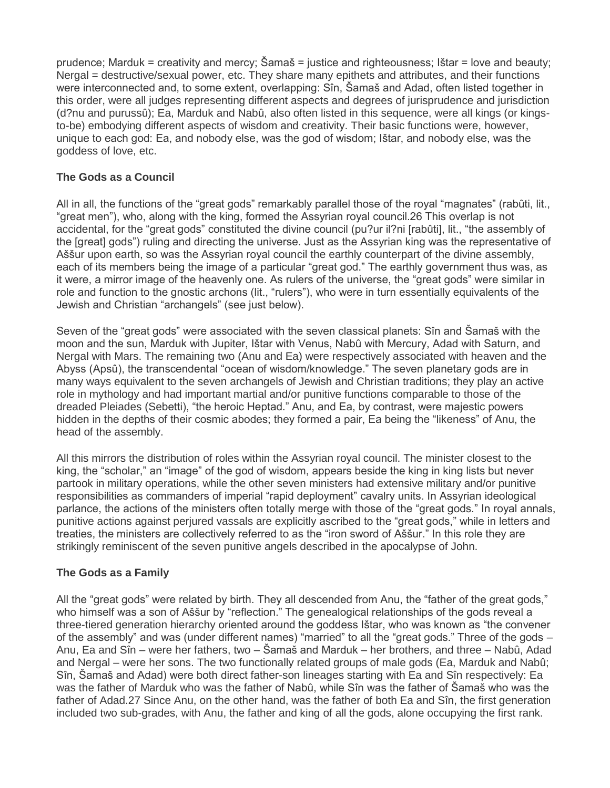prudence; Marduk = creativity and mercy; Šamaš = justice and righteousness; Ištar = love and beauty; Nergal = destructive/sexual power, etc. They share many epithets and attributes, and their functions were interconnected and, to some extent, overlapping: Sîn, Šamaš and Adad, often listed together in this order, were all judges representing different aspects and degrees of jurisprudence and jurisdiction (d?nu and purussû); Ea, Marduk and Nabû, also often listed in this sequence, were all kings (or kingsto-be) embodying different aspects of wisdom and creativity. Their basic functions were, however, unique to each god: Ea, and nobody else, was the god of wisdom; Ištar, and nobody else, was the goddess of love, etc.

# **The Gods as a Council**

All in all, the functions of the "great gods" remarkably parallel those of the royal "magnates" (rabûti, lit., "great men"), who, along with the king, formed the Assyrian royal council.26 This overlap is not accidental, for the "great gods" constituted the divine council (pu?ur il?ni [rabûti], lit., "the assembly of the [great] gods") ruling and directing the universe. Just as the Assyrian king was the representative of Aššur upon earth, so was the Assyrian royal council the earthly counterpart of the divine assembly, each of its members being the image of a particular "great god." The earthly government thus was, as it were, a mirror image of the heavenly one. As rulers of the universe, the "great gods" were similar in role and function to the gnostic archons (lit., "rulers"), who were in turn essentially equivalents of the Jewish and Christian "archangels" (see just below).

Seven of the "great gods" were associated with the seven classical planets: Sîn and Šamaš with the moon and the sun, Marduk with Jupiter, Ištar with Venus, Nabû with Mercury, Adad with Saturn, and Nergal with Mars. The remaining two (Anu and Ea) were respectively associated with heaven and the Abyss (Apsû), the transcendental "ocean of wisdom/knowledge." The seven planetary gods are in many ways equivalent to the seven archangels of Jewish and Christian traditions; they play an active role in mythology and had important martial and/or punitive functions comparable to those of the dreaded Pleiades (Sebetti), "the heroic Heptad." Anu, and Ea, by contrast, were majestic powers hidden in the depths of their cosmic abodes; they formed a pair, Ea being the "likeness" of Anu, the head of the assembly.

All this mirrors the distribution of roles within the Assyrian royal council. The minister closest to the king, the "scholar," an "image" of the god of wisdom, appears beside the king in king lists but never partook in military operations, while the other seven ministers had extensive military and/or punitive responsibilities as commanders of imperial "rapid deployment" cavalry units. In Assyrian ideological parlance, the actions of the ministers often totally merge with those of the "great gods." In royal annals, punitive actions against perjured vassals are explicitly ascribed to the "great gods," while in letters and treaties, the ministers are collectively referred to as the "iron sword of Aššur." In this role they are strikingly reminiscent of the seven punitive angels described in the apocalypse of John.

# **The Gods as a Family**

All the "great gods" were related by birth. They all descended from Anu, the "father of the great gods," who himself was a son of Aššur by "reflection." The genealogical relationships of the gods reveal a three-tiered generation hierarchy oriented around the goddess Ištar, who was known as "the convener of the assembly" and was (under different names) "married" to all the "great gods." Three of the gods – Anu, Ea and Sîn – were her fathers, two – Šamaš and Marduk – her brothers, and three – Nabû, Adad and Nergal – were her sons. The two functionally related groups of male gods (Ea, Marduk and Nabû; Sîn, Šamaš and Adad) were both direct father-son lineages starting with Ea and Sîn respectively: Ea was the father of Marduk who was the father of Nabû, while Sîn was the father of Šamaš who was the father of Adad.27 Since Anu, on the other hand, was the father of both Ea and Sîn, the first generation included two sub-grades, with Anu, the father and king of all the gods, alone occupying the first rank.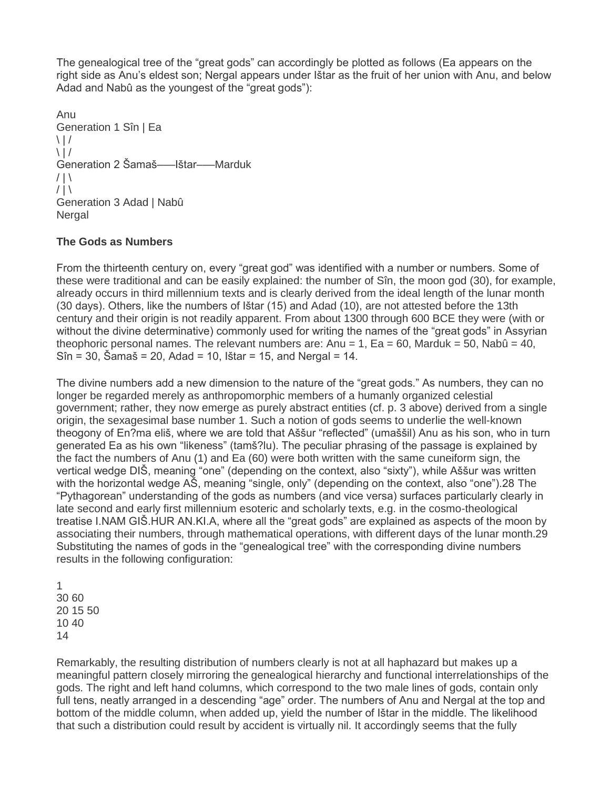The genealogical tree of the "great gods" can accordingly be plotted as follows (Ea appears on the right side as Anu's eldest son; Nergal appears under Ištar as the fruit of her union with Anu, and below Adad and Nabû as the youngest of the "great gods"):

Anu Generation 1 Sîn | Ea  $\setminus$  | /  $\setminus$  | / Generation 2 Šamaš–––Ištar–––Marduk  $/ \, | \, \backslash$  $/ | \setminus$ Generation 3 Adad | Nabû **Nergal** 

#### **The Gods as Numbers**

From the thirteenth century on, every "great god" was identified with a number or numbers. Some of these were traditional and can be easily explained: the number of Sîn, the moon god (30), for example, already occurs in third millennium texts and is clearly derived from the ideal length of the lunar month (30 days). Others, like the numbers of Ištar (15) and Adad (10), are not attested before the 13th century and their origin is not readily apparent. From about 1300 through 600 BCE they were (with or without the divine determinative) commonly used for writing the names of the "great gods" in Assyrian theophoric personal names. The relevant numbers are: Anu = 1, Ea = 60, Marduk = 50, Nabû = 40,  $S$ în = 30, Šamaš = 20, Adad = 10, Ištar = 15, and Nergal = 14.

The divine numbers add a new dimension to the nature of the "great gods." As numbers, they can no longer be regarded merely as anthropomorphic members of a humanly organized celestial government; rather, they now emerge as purely abstract entities (cf. p. 3 above) derived from a single origin, the sexagesimal base number 1. Such a notion of gods seems to underlie the well-known theogony of En?ma eliš, where we are told that Aššur "reflected" (umaššil) Anu as his son, who in turn generated Ea as his own "likeness" (tamš?lu). The peculiar phrasing of the passage is explained by the fact the numbers of Anu (1) and Ea (60) were both written with the same cuneiform sign, the vertical wedge DIŠ, meaning "one" (depending on the context, also "sixty"), while Aššur was written with the horizontal wedge AŠ, meaning "single, only" (depending on the context, also "one").28 The "Pythagorean" understanding of the gods as numbers (and vice versa) surfaces particularly clearly in late second and early first millennium esoteric and scholarly texts, e.g. in the cosmo-theological treatise I.NAM GIŠ.HUR AN.KI.A, where all the "great gods" are explained as aspects of the moon by associating their numbers, through mathematical operations, with different days of the lunar month.29 Substituting the names of gods in the "genealogical tree" with the corresponding divine numbers results in the following configuration:

Remarkably, the resulting distribution of numbers clearly is not at all haphazard but makes up a meaningful pattern closely mirroring the genealogical hierarchy and functional interrelationships of the gods. The right and left hand columns, which correspond to the two male lines of gods, contain only full tens, neatly arranged in a descending "age" order. The numbers of Anu and Nergal at the top and bottom of the middle column, when added up, yield the number of Ištar in the middle. The likelihood that such a distribution could result by accident is virtually nil. It accordingly seems that the fully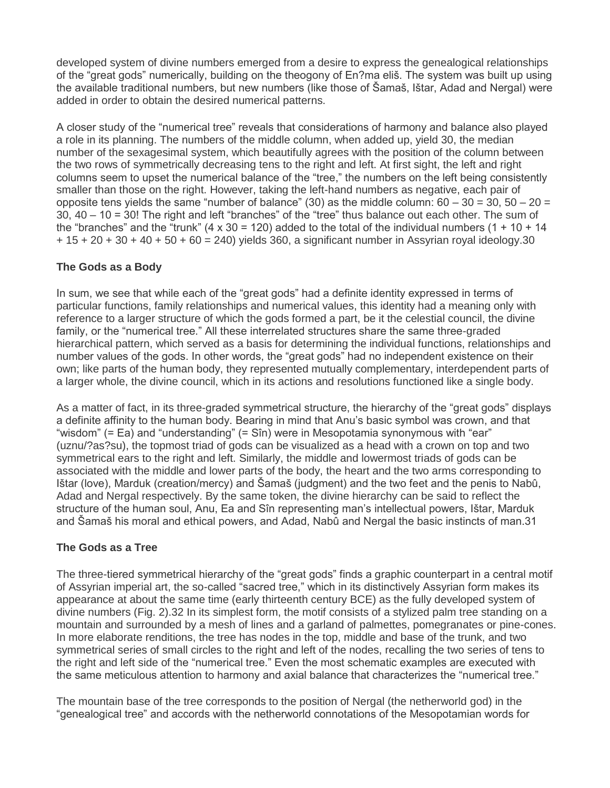developed system of divine numbers emerged from a desire to express the genealogical relationships of the "great gods" numerically, building on the theogony of En?ma eliš. The system was built up using the available traditional numbers, but new numbers (like those of Šamaš, Ištar, Adad and Nergal) were added in order to obtain the desired numerical patterns.

A closer study of the "numerical tree" reveals that considerations of harmony and balance also played a role in its planning. The numbers of the middle column, when added up, yield 30, the median number of the sexagesimal system, which beautifully agrees with the position of the column between the two rows of symmetrically decreasing tens to the right and left. At first sight, the left and right columns seem to upset the numerical balance of the "tree," the numbers on the left being consistently smaller than those on the right. However, taking the left-hand numbers as negative, each pair of opposite tens yields the same "number of balance" (30) as the middle column:  $60 - 30 = 30$ ,  $50 - 20 =$ 30, 40 – 10 = 30! The right and left "branches" of the "tree" thus balance out each other. The sum of the "branches" and the "trunk" (4 x 30 = 120) added to the total of the individual numbers (1 + 10 + 14 + 15 + 20 + 30 + 40 + 50 + 60 = 240) yields 360, a significant number in Assyrian royal ideology.30

# **The Gods as a Body**

In sum, we see that while each of the "great gods" had a definite identity expressed in terms of particular functions, family relationships and numerical values, this identity had a meaning only with reference to a larger structure of which the gods formed a part, be it the celestial council, the divine family, or the "numerical tree." All these interrelated structures share the same three-graded hierarchical pattern, which served as a basis for determining the individual functions, relationships and number values of the gods. In other words, the "great gods" had no independent existence on their own; like parts of the human body, they represented mutually complementary, interdependent parts of a larger whole, the divine council, which in its actions and resolutions functioned like a single body.

As a matter of fact, in its three-graded symmetrical structure, the hierarchy of the "great gods" displays a definite affinity to the human body. Bearing in mind that Anu's basic symbol was crown, and that "wisdom" (= Ea) and "understanding" (= Sîn) were in Mesopotamia synonymous with "ear" (uznu/?as?su), the topmost triad of gods can be visualized as a head with a crown on top and two symmetrical ears to the right and left. Similarly, the middle and lowermost triads of gods can be associated with the middle and lower parts of the body, the heart and the two arms corresponding to Ištar (love), Marduk (creation/mercy) and Šamaš (judgment) and the two feet and the penis to Nabû, Adad and Nergal respectively. By the same token, the divine hierarchy can be said to reflect the structure of the human soul, Anu, Ea and Sîn representing man's intellectual powers, Ištar, Marduk and Šamaš his moral and ethical powers, and Adad, Nabû and Nergal the basic instincts of man.31

# **The Gods as a Tree**

The three-tiered symmetrical hierarchy of the "great gods" finds a graphic counterpart in a central motif of Assyrian imperial art, the so-called "sacred tree," which in its distinctively Assyrian form makes its appearance at about the same time (early thirteenth century BCE) as the fully developed system of divine numbers (Fig. 2).32 In its simplest form, the motif consists of a stylized palm tree standing on a mountain and surrounded by a mesh of lines and a garland of palmettes, pomegranates or pine-cones. In more elaborate renditions, the tree has nodes in the top, middle and base of the trunk, and two symmetrical series of small circles to the right and left of the nodes, recalling the two series of tens to the right and left side of the "numerical tree." Even the most schematic examples are executed with the same meticulous attention to harmony and axial balance that characterizes the "numerical tree."

The mountain base of the tree corresponds to the position of Nergal (the netherworld god) in the "genealogical tree" and accords with the netherworld connotations of the Mesopotamian words for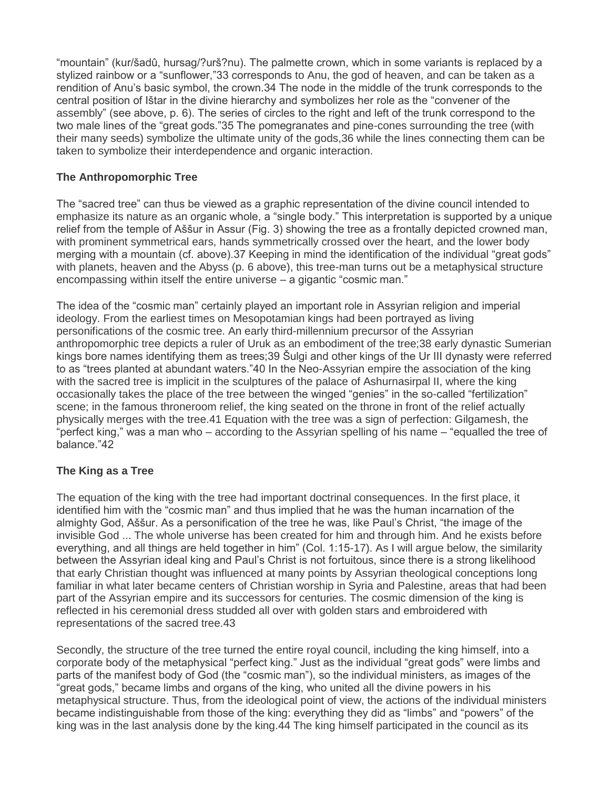"mountain" (kur/šadû, hursag/?urš?nu). The palmette crown, which in some variants is replaced by a stylized rainbow or a "sunflower,"33 corresponds to Anu, the god of heaven, and can be taken as a rendition of Anu's basic symbol, the crown.34 The node in the middle of the trunk corresponds to the central position of Ištar in the divine hierarchy and symbolizes her role as the "convener of the assembly" (see above, p. 6). The series of circles to the right and left of the trunk correspond to the two male lines of the "great gods."35 The pomegranates and pine-cones surrounding the tree (with their many seeds) symbolize the ultimate unity of the gods,36 while the lines connecting them can be taken to symbolize their interdependence and organic interaction.

# **The Anthropomorphic Tree**

The "sacred tree" can thus be viewed as a graphic representation of the divine council intended to emphasize its nature as an organic whole, a "single body." This interpretation is supported by a unique relief from the temple of Aššur in Assur (Fig. 3) showing the tree as a frontally depicted crowned man, with prominent symmetrical ears, hands symmetrically crossed over the heart, and the lower body merging with a mountain (cf. above).37 Keeping in mind the identification of the individual "great gods" with planets, heaven and the Abyss (p. 6 above), this tree-man turns out be a metaphysical structure encompassing within itself the entire universe – a gigantic "cosmic man."

The idea of the "cosmic man" certainly played an important role in Assyrian religion and imperial ideology. From the earliest times on Mesopotamian kings had been portrayed as living personifications of the cosmic tree. An early third-millennium precursor of the Assyrian anthropomorphic tree depicts a ruler of Uruk as an embodiment of the tree;38 early dynastic Sumerian kings bore names identifying them as trees;39 Šulgi and other kings of the Ur III dynasty were referred to as "trees planted at abundant waters."40 In the Neo-Assyrian empire the association of the king with the sacred tree is implicit in the sculptures of the palace of Ashurnasirpal II, where the king occasionally takes the place of the tree between the winged "genies" in the so-called "fertilization" scene; in the famous throneroom relief, the king seated on the throne in front of the relief actually physically merges with the tree.41 Equation with the tree was a sign of perfection: Gilgamesh, the "perfect king," was a man who – according to the Assyrian spelling of his name – "equalled the tree of balance."42

# **The King as a Tree**

The equation of the king with the tree had important doctrinal consequences. In the first place, it identified him with the "cosmic man" and thus implied that he was the human incarnation of the almighty God, Aššur. As a personification of the tree he was, like Paul's Christ, "the image of the invisible God ... The whole universe has been created for him and through him. And he exists before everything, and all things are held together in him" (Col. 1:15-17). As I will argue below, the similarity between the Assyrian ideal king and Paul's Christ is not fortuitous, since there is a strong likelihood that early Christian thought was influenced at many points by Assyrian theological conceptions long familiar in what later became centers of Christian worship in Syria and Palestine, areas that had been part of the Assyrian empire and its successors for centuries. The cosmic dimension of the king is reflected in his ceremonial dress studded all over with golden stars and embroidered with representations of the sacred tree.43

Secondly, the structure of the tree turned the entire royal council, including the king himself, into a corporate body of the metaphysical "perfect king." Just as the individual "great gods" were limbs and parts of the manifest body of God (the "cosmic man"), so the individual ministers, as images of the "great gods," became limbs and organs of the king, who united all the divine powers in his metaphysical structure. Thus, from the ideological point of view, the actions of the individual ministers became indistinguishable from those of the king: everything they did as "limbs" and "powers" of the king was in the last analysis done by the king.44 The king himself participated in the council as its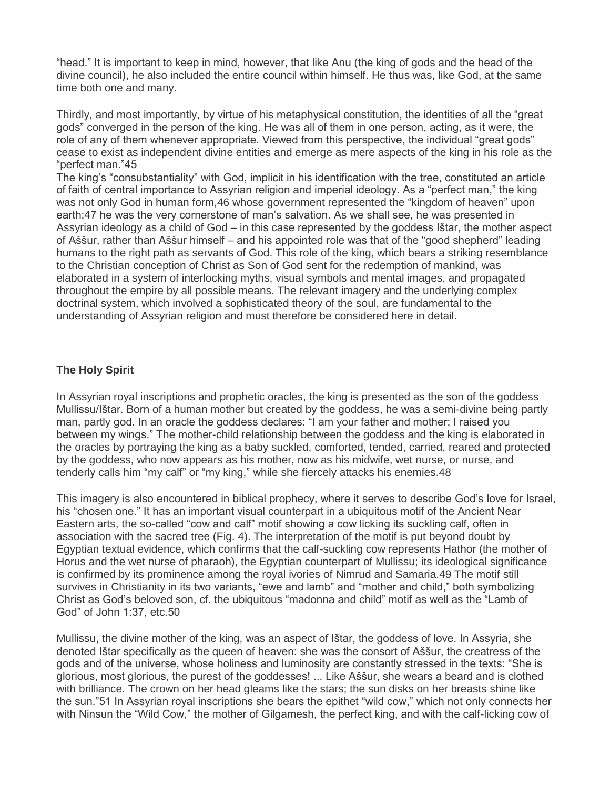"head." It is important to keep in mind, however, that like Anu (the king of gods and the head of the divine council), he also included the entire council within himself. He thus was, like God, at the same time both one and many.

Thirdly, and most importantly, by virtue of his metaphysical constitution, the identities of all the "great gods" converged in the person of the king. He was all of them in one person, acting, as it were, the role of any of them whenever appropriate. Viewed from this perspective, the individual "great gods" cease to exist as independent divine entities and emerge as mere aspects of the king in his role as the "perfect man."45

The king's "consubstantiality" with God, implicit in his identification with the tree, constituted an article of faith of central importance to Assyrian religion and imperial ideology. As a "perfect man," the king was not only God in human form,46 whose government represented the "kingdom of heaven" upon earth;47 he was the very cornerstone of man's salvation. As we shall see, he was presented in Assyrian ideology as a child of God – in this case represented by the goddess Ištar, the mother aspect of Aššur, rather than Aššur himself – and his appointed role was that of the "good shepherd" leading humans to the right path as servants of God. This role of the king, which bears a striking resemblance to the Christian conception of Christ as Son of God sent for the redemption of mankind, was elaborated in a system of interlocking myths, visual symbols and mental images, and propagated throughout the empire by all possible means. The relevant imagery and the underlying complex doctrinal system, which involved a sophisticated theory of the soul, are fundamental to the understanding of Assyrian religion and must therefore be considered here in detail.

### **The Holy Spirit**

In Assyrian royal inscriptions and prophetic oracles, the king is presented as the son of the goddess Mullissu/Ištar. Born of a human mother but created by the goddess, he was a semi-divine being partly man, partly god. In an oracle the goddess declares: "I am your father and mother; I raised you between my wings." The mother-child relationship between the goddess and the king is elaborated in the oracles by portraying the king as a baby suckled, comforted, tended, carried, reared and protected by the goddess, who now appears as his mother, now as his midwife, wet nurse, or nurse, and tenderly calls him "my calf" or "my king," while she fiercely attacks his enemies.48

This imagery is also encountered in biblical prophecy, where it serves to describe God's love for Israel, his "chosen one." It has an important visual counterpart in a ubiquitous motif of the Ancient Near Eastern arts, the so-called "cow and calf" motif showing a cow licking its suckling calf, often in association with the sacred tree (Fig. 4). The interpretation of the motif is put beyond doubt by Egyptian textual evidence, which confirms that the calf-suckling cow represents Hathor (the mother of Horus and the wet nurse of pharaoh), the Egyptian counterpart of Mullissu; its ideological significance is confirmed by its prominence among the royal ivories of Nimrud and Samaria.49 The motif still survives in Christianity in its two variants, "ewe and lamb" and "mother and child," both symbolizing Christ as God's beloved son, cf. the ubiquitous "madonna and child" motif as well as the "Lamb of God" of John 1:37, etc.50

Mullissu, the divine mother of the king, was an aspect of Ištar, the goddess of love. In Assyria, she denoted Ištar specifically as the queen of heaven: she was the consort of Aššur, the creatress of the gods and of the universe, whose holiness and luminosity are constantly stressed in the texts: "She is glorious, most glorious, the purest of the goddesses! ... Like Aššur, she wears a beard and is clothed with brilliance. The crown on her head gleams like the stars; the sun disks on her breasts shine like the sun."51 In Assyrian royal inscriptions she bears the epithet "wild cow," which not only connects her with Ninsun the "Wild Cow," the mother of Gilgamesh, the perfect king, and with the calf-licking cow of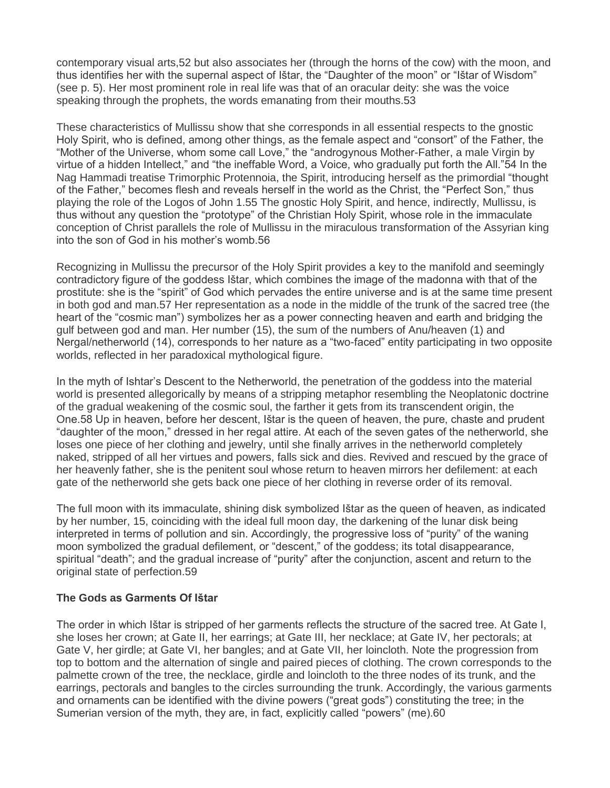contemporary visual arts,52 but also associates her (through the horns of the cow) with the moon, and thus identifies her with the supernal aspect of Ištar, the "Daughter of the moon" or "Ištar of Wisdom" (see p. 5). Her most prominent role in real life was that of an oracular deity: she was the voice speaking through the prophets, the words emanating from their mouths.53

These characteristics of Mullissu show that she corresponds in all essential respects to the gnostic Holy Spirit, who is defined, among other things, as the female aspect and "consort" of the Father, the "Mother of the Universe, whom some call Love," the "androgynous Mother-Father, a male Virgin by virtue of a hidden Intellect," and "the ineffable Word, a Voice, who gradually put forth the All."54 In the Nag Hammadi treatise Trimorphic Protennoia, the Spirit, introducing herself as the primordial "thought of the Father," becomes flesh and reveals herself in the world as the Christ, the "Perfect Son," thus playing the role of the Logos of John 1.55 The gnostic Holy Spirit, and hence, indirectly, Mullissu, is thus without any question the "prototype" of the Christian Holy Spirit, whose role in the immaculate conception of Christ parallels the role of Mullissu in the miraculous transformation of the Assyrian king into the son of God in his mother's womb.56

Recognizing in Mullissu the precursor of the Holy Spirit provides a key to the manifold and seemingly contradictory figure of the goddess Ištar, which combines the image of the madonna with that of the prostitute: she is the "spirit" of God which pervades the entire universe and is at the same time present in both god and man.57 Her representation as a node in the middle of the trunk of the sacred tree (the heart of the "cosmic man") symbolizes her as a power connecting heaven and earth and bridging the gulf between god and man. Her number (15), the sum of the numbers of Anu/heaven (1) and Nergal/netherworld (14), corresponds to her nature as a "two-faced" entity participating in two opposite worlds, reflected in her paradoxical mythological figure.

In the myth of Ishtar's Descent to the Netherworld, the penetration of the goddess into the material world is presented allegorically by means of a stripping metaphor resembling the Neoplatonic doctrine of the gradual weakening of the cosmic soul, the farther it gets from its transcendent origin, the One.58 Up in heaven, before her descent, Ištar is the queen of heaven, the pure, chaste and prudent "daughter of the moon," dressed in her regal attire. At each of the seven gates of the netherworld, she loses one piece of her clothing and jewelry, until she finally arrives in the netherworld completely naked, stripped of all her virtues and powers, falls sick and dies. Revived and rescued by the grace of her heavenly father, she is the penitent soul whose return to heaven mirrors her defilement: at each gate of the netherworld she gets back one piece of her clothing in reverse order of its removal.

The full moon with its immaculate, shining disk symbolized Ištar as the queen of heaven, as indicated by her number, 15, coinciding with the ideal full moon day, the darkening of the lunar disk being interpreted in terms of pollution and sin. Accordingly, the progressive loss of "purity" of the waning moon symbolized the gradual defilement, or "descent," of the goddess; its total disappearance, spiritual "death"; and the gradual increase of "purity" after the conjunction, ascent and return to the original state of perfection.59

### **The Gods as Garments Of Ištar**

The order in which Ištar is stripped of her garments reflects the structure of the sacred tree. At Gate I, she loses her crown; at Gate II, her earrings; at Gate III, her necklace; at Gate IV, her pectorals; at Gate V, her girdle; at Gate VI, her bangles; and at Gate VII, her loincloth. Note the progression from top to bottom and the alternation of single and paired pieces of clothing. The crown corresponds to the palmette crown of the tree, the necklace, girdle and loincloth to the three nodes of its trunk, and the earrings, pectorals and bangles to the circles surrounding the trunk. Accordingly, the various garments and ornaments can be identified with the divine powers ("great gods") constituting the tree; in the Sumerian version of the myth, they are, in fact, explicitly called "powers" (me).60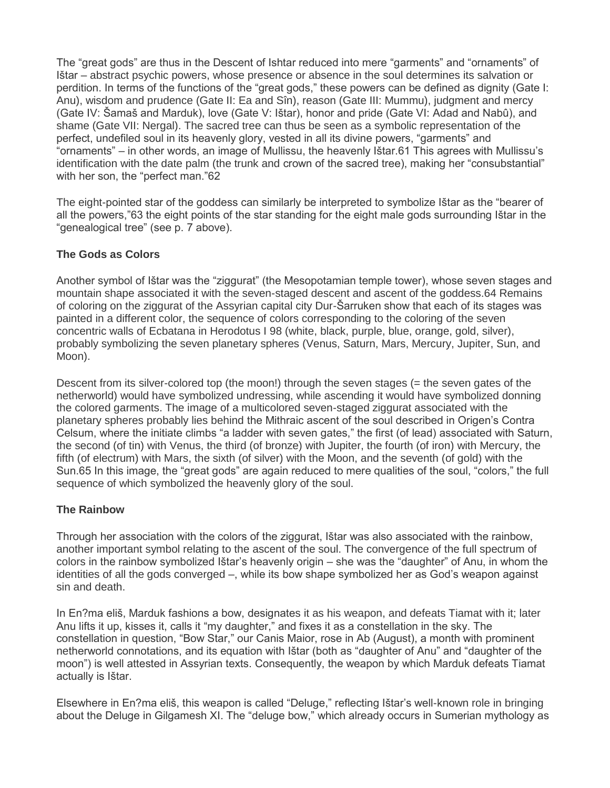The "great gods" are thus in the Descent of Ishtar reduced into mere "garments" and "ornaments" of Ištar – abstract psychic powers, whose presence or absence in the soul determines its salvation or perdition. In terms of the functions of the "great gods," these powers can be defined as dignity (Gate I: Anu), wisdom and prudence (Gate II: Ea and Sîn), reason (Gate III: Mummu), judgment and mercy (Gate IV: Šamaš and Marduk), love (Gate V: Ištar), honor and pride (Gate VI: Adad and Nabû), and shame (Gate VII: Nergal). The sacred tree can thus be seen as a symbolic representation of the perfect, undefiled soul in its heavenly glory, vested in all its divine powers, "garments" and "ornaments" – in other words, an image of Mullissu, the heavenly Ištar.61 This agrees with Mullissu's identification with the date palm (the trunk and crown of the sacred tree), making her "consubstantial" with her son, the "perfect man."62

The eight-pointed star of the goddess can similarly be interpreted to symbolize Ištar as the "bearer of all the powers,"63 the eight points of the star standing for the eight male gods surrounding Ištar in the "genealogical tree" (see p. 7 above).

### **The Gods as Colors**

Another symbol of Ištar was the "ziggurat" (the Mesopotamian temple tower), whose seven stages and mountain shape associated it with the seven-staged descent and ascent of the goddess.64 Remains of coloring on the ziggurat of the Assyrian capital city Dur-Šarruken show that each of its stages was painted in a different color, the sequence of colors corresponding to the coloring of the seven concentric walls of Ecbatana in Herodotus I 98 (white, black, purple, blue, orange, gold, silver), probably symbolizing the seven planetary spheres (Venus, Saturn, Mars, Mercury, Jupiter, Sun, and Moon).

Descent from its silver-colored top (the moon!) through the seven stages (= the seven gates of the netherworld) would have symbolized undressing, while ascending it would have symbolized donning the colored garments. The image of a multicolored seven-staged ziggurat associated with the planetary spheres probably lies behind the Mithraic ascent of the soul described in Origen's Contra Celsum, where the initiate climbs "a ladder with seven gates," the first (of lead) associated with Saturn, the second (of tin) with Venus, the third (of bronze) with Jupiter, the fourth (of iron) with Mercury, the fifth (of electrum) with Mars, the sixth (of silver) with the Moon, and the seventh (of gold) with the Sun.65 In this image, the "great gods" are again reduced to mere qualities of the soul, "colors," the full sequence of which symbolized the heavenly glory of the soul.

### **The Rainbow**

Through her association with the colors of the ziggurat, Ištar was also associated with the rainbow, another important symbol relating to the ascent of the soul. The convergence of the full spectrum of colors in the rainbow symbolized Ištar's heavenly origin – she was the "daughter" of Anu, in whom the identities of all the gods converged –, while its bow shape symbolized her as God's weapon against sin and death.

In En?ma eliš, Marduk fashions a bow, designates it as his weapon, and defeats Tiamat with it; later Anu lifts it up, kisses it, calls it "my daughter," and fixes it as a constellation in the sky. The constellation in question, "Bow Star," our Canis Maior, rose in Ab (August), a month with prominent netherworld connotations, and its equation with Ištar (both as "daughter of Anu" and "daughter of the moon") is well attested in Assyrian texts. Consequently, the weapon by which Marduk defeats Tiamat actually is Ištar.

Elsewhere in En?ma eliš, this weapon is called "Deluge," reflecting Ištar's well-known role in bringing about the Deluge in Gilgamesh XI. The "deluge bow," which already occurs in Sumerian mythology as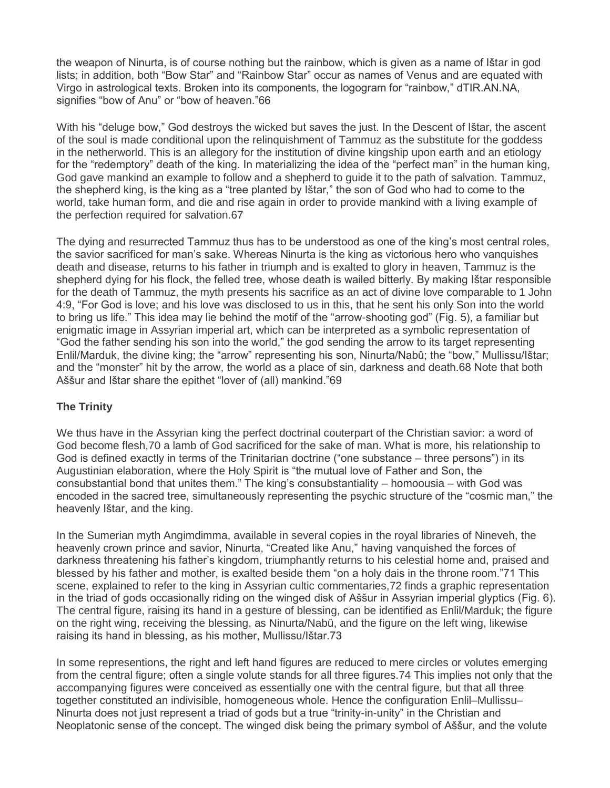the weapon of Ninurta, is of course nothing but the rainbow, which is given as a name of Ištar in god lists; in addition, both "Bow Star" and "Rainbow Star" occur as names of Venus and are equated with Virgo in astrological texts. Broken into its components, the logogram for "rainbow," dTIR.AN.NA, signifies "bow of Anu" or "bow of heaven."66

With his "deluge bow," God destroys the wicked but saves the just. In the Descent of Ištar, the ascent of the soul is made conditional upon the relinquishment of Tammuz as the substitute for the goddess in the netherworld. This is an allegory for the institution of divine kingship upon earth and an etiology for the "redemptory" death of the king. In materializing the idea of the "perfect man" in the human king, God gave mankind an example to follow and a shepherd to guide it to the path of salvation. Tammuz, the shepherd king, is the king as a "tree planted by Ištar," the son of God who had to come to the world, take human form, and die and rise again in order to provide mankind with a living example of the perfection required for salvation.67

The dying and resurrected Tammuz thus has to be understood as one of the king's most central roles, the savior sacrificed for man's sake. Whereas Ninurta is the king as victorious hero who vanquishes death and disease, returns to his father in triumph and is exalted to glory in heaven, Tammuz is the shepherd dying for his flock, the felled tree, whose death is wailed bitterly. By making Ištar responsible for the death of Tammuz, the myth presents his sacrifice as an act of divine love comparable to 1 John 4:9, "For God is love; and his love was disclosed to us in this, that he sent his only Son into the world to bring us life." This idea may lie behind the motif of the "arrow-shooting god" (Fig. 5), a familiar but enigmatic image in Assyrian imperial art, which can be interpreted as a symbolic representation of "God the father sending his son into the world," the god sending the arrow to its target representing Enlil/Marduk, the divine king; the "arrow" representing his son, Ninurta/Nabû; the "bow," Mullissu/Ištar; and the "monster" hit by the arrow, the world as a place of sin, darkness and death.68 Note that both Aššur and Ištar share the epithet "lover of (all) mankind."69

### **The Trinity**

We thus have in the Assyrian king the perfect doctrinal couterpart of the Christian savior: a word of God become flesh,70 a lamb of God sacrificed for the sake of man. What is more, his relationship to God is defined exactly in terms of the Trinitarian doctrine ("one substance – three persons") in its Augustinian elaboration, where the Holy Spirit is "the mutual love of Father and Son, the consubstantial bond that unites them." The king's consubstantiality – homoousia – with God was encoded in the sacred tree, simultaneously representing the psychic structure of the "cosmic man," the heavenly Ištar, and the king.

In the Sumerian myth Angimdimma, available in several copies in the royal libraries of Nineveh, the heavenly crown prince and savior, Ninurta, "Created like Anu," having vanquished the forces of darkness threatening his father's kingdom, triumphantly returns to his celestial home and, praised and blessed by his father and mother, is exalted beside them "on a holy dais in the throne room."71 This scene, explained to refer to the king in Assyrian cultic commentaries,72 finds a graphic representation in the triad of gods occasionally riding on the winged disk of Aššur in Assyrian imperial glyptics (Fig. 6). The central figure, raising its hand in a gesture of blessing, can be identified as Enlil/Marduk; the figure on the right wing, receiving the blessing, as Ninurta/Nabû, and the figure on the left wing, likewise raising its hand in blessing, as his mother, Mullissu/Ištar.73

In some representions, the right and left hand figures are reduced to mere circles or volutes emerging from the central figure; often a single volute stands for all three figures.74 This implies not only that the accompanying figures were conceived as essentially one with the central figure, but that all three together constituted an indivisible, homogeneous whole. Hence the configuration Enlil–Mullissu– Ninurta does not just represent a triad of gods but a true "trinity-in-unity" in the Christian and Neoplatonic sense of the concept. The winged disk being the primary symbol of Aššur, and the volute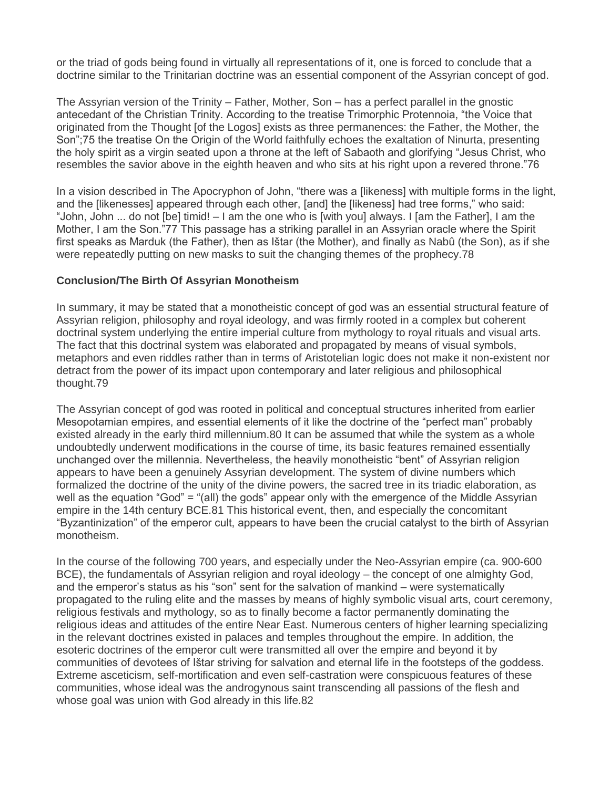or the triad of gods being found in virtually all representations of it, one is forced to conclude that a doctrine similar to the Trinitarian doctrine was an essential component of the Assyrian concept of god.

The Assyrian version of the Trinity – Father, Mother, Son – has a perfect parallel in the gnostic antecedant of the Christian Trinity. According to the treatise Trimorphic Protennoia, "the Voice that originated from the Thought [of the Logos] exists as three permanences: the Father, the Mother, the Son";75 the treatise On the Origin of the World faithfully echoes the exaltation of Ninurta, presenting the holy spirit as a virgin seated upon a throne at the left of Sabaoth and glorifying "Jesus Christ, who resembles the savior above in the eighth heaven and who sits at his right upon a revered throne."76

In a vision described in The Apocryphon of John, "there was a [likeness] with multiple forms in the light, and the [likenesses] appeared through each other, [and] the [likeness] had tree forms," who said: "John, John ... do not [be] timid! – I am the one who is [with you] always. I [am the Father], I am the Mother, I am the Son."77 This passage has a striking parallel in an Assyrian oracle where the Spirit first speaks as Marduk (the Father), then as Ištar (the Mother), and finally as Nabû (the Son), as if she were repeatedly putting on new masks to suit the changing themes of the prophecy.78

### **Conclusion/The Birth Of Assyrian Monotheism**

In summary, it may be stated that a monotheistic concept of god was an essential structural feature of Assyrian religion, philosophy and royal ideology, and was firmly rooted in a complex but coherent doctrinal system underlying the entire imperial culture from mythology to royal rituals and visual arts. The fact that this doctrinal system was elaborated and propagated by means of visual symbols, metaphors and even riddles rather than in terms of Aristotelian logic does not make it non-existent nor detract from the power of its impact upon contemporary and later religious and philosophical thought.79

The Assyrian concept of god was rooted in political and conceptual structures inherited from earlier Mesopotamian empires, and essential elements of it like the doctrine of the "perfect man" probably existed already in the early third millennium.80 It can be assumed that while the system as a whole undoubtedly underwent modifications in the course of time, its basic features remained essentially unchanged over the millennia. Nevertheless, the heavily monotheistic "bent" of Assyrian religion appears to have been a genuinely Assyrian development. The system of divine numbers which formalized the doctrine of the unity of the divine powers, the sacred tree in its triadic elaboration, as well as the equation "God" = "(all) the gods" appear only with the emergence of the Middle Assyrian empire in the 14th century BCE.81 This historical event, then, and especially the concomitant "Byzantinization" of the emperor cult, appears to have been the crucial catalyst to the birth of Assyrian monotheism.

In the course of the following 700 years, and especially under the Neo-Assyrian empire (ca. 900-600 BCE), the fundamentals of Assyrian religion and royal ideology – the concept of one almighty God, and the emperor's status as his "son" sent for the salvation of mankind – were systematically propagated to the ruling elite and the masses by means of highly symbolic visual arts, court ceremony, religious festivals and mythology, so as to finally become a factor permanently dominating the religious ideas and attitudes of the entire Near East. Numerous centers of higher learning specializing in the relevant doctrines existed in palaces and temples throughout the empire. In addition, the esoteric doctrines of the emperor cult were transmitted all over the empire and beyond it by communities of devotees of Ištar striving for salvation and eternal life in the footsteps of the goddess. Extreme asceticism, self-mortification and even self-castration were conspicuous features of these communities, whose ideal was the androgynous saint transcending all passions of the flesh and whose goal was union with God already in this life.82